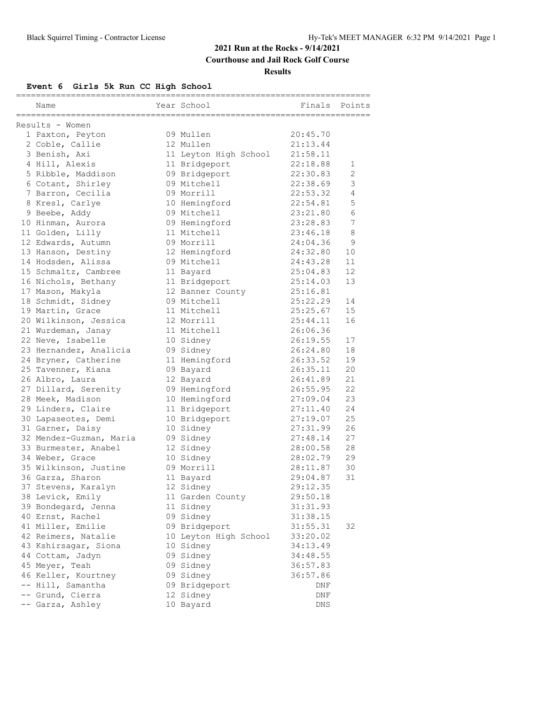**Courthouse and Jail Rock Golf Course**

#### **Results**

### **Event 6 Girls 5k Run CC High School**

| Name                    | Year School                   | Finals Points |                |
|-------------------------|-------------------------------|---------------|----------------|
| Results - Women         |                               |               |                |
| 1 Paxton, Peyton        | 09 Mullen                     | 20:45.70      |                |
| 2 Coble, Callie         | 12 Mullen                     | 21:13.44      |                |
| 3 Benish, Axi           | 11 Leyton High School         | 21:58.11      |                |
| 4 Hill, Alexis          | 11 Bridgeport                 | 22:18.88      | 1              |
| 5 Ribble, Maddison      | 09 Bridgeport                 | 22:30.83      | 2              |
| 6 Cotant, Shirley       | 09 Mitchell                   | 22:38.69      | 3              |
| 7 Barron, Cecilia       | 09 Morrill                    | 22:53.32      | $\overline{4}$ |
| 8 Kresl, Carlye         | 10 Hemingford                 | 22:54.81      | 5              |
| 9 Beebe, Addy           | 09 Mitchell                   | 23:21.80      | $\epsilon$     |
| 10 Hinman, Aurora       | 09 Hemingford                 | 23:28.83      | 7              |
| 11 Golden, Lilly        | 11 Mitchell                   | 23:46.18      | 8              |
| 12 Edwards, Autumn      | 09 Morrill                    | 24:04.36      | $\overline{9}$ |
| 13 Hanson, Destiny      | 12 Hemingford                 | 24:32.80      | 10             |
| 14 Hodsden, Alissa      | 09 Mitchell                   | 24:43.28      | 11             |
| 15 Schmaltz, Cambree    | 11 Bayard                     | 25:04.83      | 12             |
| 16 Nichols, Bethany     | 11 Bridgeport                 | 25:14.03      | 13             |
| 17 Mason, Makyla        | 12 Banner County              | 25:16.81      |                |
| 18 Schmidt, Sidney      | 09 Mitchell                   | 25:22.29      | 14             |
| 19 Martin, Grace        | 11 Mitchell                   | 25:25.67      | 15             |
| 20 Wilkinson, Jessica   | 12 Morrill                    | 25:44.11      | 16             |
| 21 Wurdeman, Janay      | 11 Mitchell                   | 26:06.36      |                |
| 22 Neve, Isabelle       | 10 Sidney                     | 26:19.55      | 17             |
| 23 Hernandez, Analicia  | 09 Sidney                     | 26:24.80      | 18             |
| 24 Bryner, Catherine    | 11 Hemingford                 | 26:33.52      | 19             |
| 25 Tavenner, Kiana      | 09 Bayard                     | 26:35.11      | 20             |
| 26 Albro, Laura         | 12 Bayard                     | 26:41.89      | 21             |
| 27 Dillard, Serenity    | 09 Hemingford                 | 26:55.95      | 22             |
| 28 Meek, Madison        | 10 Hemingford                 | 27:09.04      | 23             |
| 29 Linders, Claire      | 11 Bridgeport                 | 27:11.40      | 24             |
| 30 Lapaseotes, Demi     | 10 Bridgeport                 | 27:19.07      | 25             |
| 31 Garner, Daisy        | 10 Sidney                     | 27:31.99      | 26             |
| 32 Mendez-Guzman, Maria | 09 Sidney                     | 27:48.14      | 27             |
| 33 Burmester, Anabel    | 12 Sidney                     | 28:00.58      | 28             |
| 34 Weber, Grace         | 10 Sidney                     | 28:02.79      | 29             |
| 35 Wilkinson, Justine   | 09 Morrill                    | 28:11.87      | 30             |
| 36 Garza, Sharon        |                               | 29:04.87      | 31             |
|                         | 11 Bayard                     | 29:12.35      |                |
| 37 Stevens, Karalyn     | 12 Sidney                     | 29:50.18      |                |
| 38 Levick, Emily        | 11 Garden County<br>11 Sidney |               |                |
| 39 Bondegard, Jenna     |                               | 31:31.93      |                |
| 40 Ernst, Rachel        | 09 Sidney                     | 31:38.15      |                |
| 41 Miller, Emilie       | 09 Bridgeport                 | 31:55.31      | 32             |
| 42 Reimers, Natalie     | 10 Leyton High School         | 33:20.02      |                |
| 43 Kshirsagar, Siona    | 10 Sidney                     | 34:13.49      |                |
| 44 Cottam, Jadyn        | 09 Sidney                     | 34:48.55      |                |
| 45 Meyer, Teah          | 09 Sidney                     | 36:57.83      |                |
| 46 Keller, Kourtney     | 09 Sidney                     | 36:57.86      |                |
| -- Hill, Samantha       | 09 Bridgeport                 | DNF           |                |
| -- Grund, Cierra        | 12 Sidney                     | DNF           |                |
| -- Garza, Ashley        | 10 Bayard                     | DNS           |                |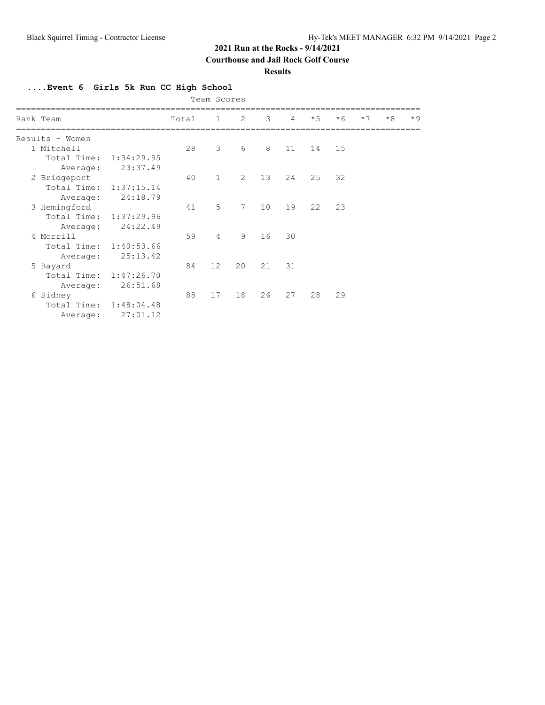**Courthouse and Jail Rock Golf Course**

**Results**

**....Event 6 Girls 5k Run CC High School**

|  | Team Scores            |            |       |                |                |    |                |      |      |      |      |      |
|--|------------------------|------------|-------|----------------|----------------|----|----------------|------|------|------|------|------|
|  | Rank Team              |            | Total | $\mathbf{1}$   | 2              | 3  | $\overline{4}$ | $*5$ | $*6$ | $*7$ | $*8$ | $*9$ |
|  | Results - Women        |            |       |                |                |    |                |      |      |      |      |      |
|  | 1 Mitchell             |            | 28    | 3              | 6              | 8  | 11             | 14   | 15   |      |      |      |
|  | Total Time: 1:34:29.95 |            |       |                |                |    |                |      |      |      |      |      |
|  | Average:               | 23:37.49   |       |                |                |    |                |      |      |      |      |      |
|  | 2 Bridgeport           |            | 40    | $\mathbf{1}$   | $\overline{2}$ | 13 | 24             | 25   | 32   |      |      |      |
|  | Total Time:            | 1:37:15.14 |       |                |                |    |                |      |      |      |      |      |
|  | Average:               | 24:18.79   |       |                |                |    |                |      |      |      |      |      |
|  | 3 Hemingford           |            | 41    | 5              | $7^{\circ}$    | 10 | 19             | 22   | 23   |      |      |      |
|  | Total Time:            | 1:37:29.96 |       |                |                |    |                |      |      |      |      |      |
|  | Average:               | 24:22.49   |       |                |                |    |                |      |      |      |      |      |
|  | 4 Morrill              |            | 59    | $\overline{4}$ | 9              | 16 | 30             |      |      |      |      |      |
|  | Total Time: 1:40:53.66 |            |       |                |                |    |                |      |      |      |      |      |
|  | Average:               | 25:13.42   |       |                |                |    |                |      |      |      |      |      |
|  | 5 Bayard               |            | 84    | 12             | 20             | 21 | 31             |      |      |      |      |      |
|  | Total Time: 1:47:26.70 |            |       |                |                |    |                |      |      |      |      |      |
|  | Average:               | 26:51.68   |       |                |                |    |                |      |      |      |      |      |
|  | 6 Sidney               |            | 88    | 17             | 18             | 26 | 27             | 28   | 29   |      |      |      |
|  | Total Time: 1:48:04.48 |            |       |                |                |    |                |      |      |      |      |      |
|  | Average:               | 27:01.12   |       |                |                |    |                |      |      |      |      |      |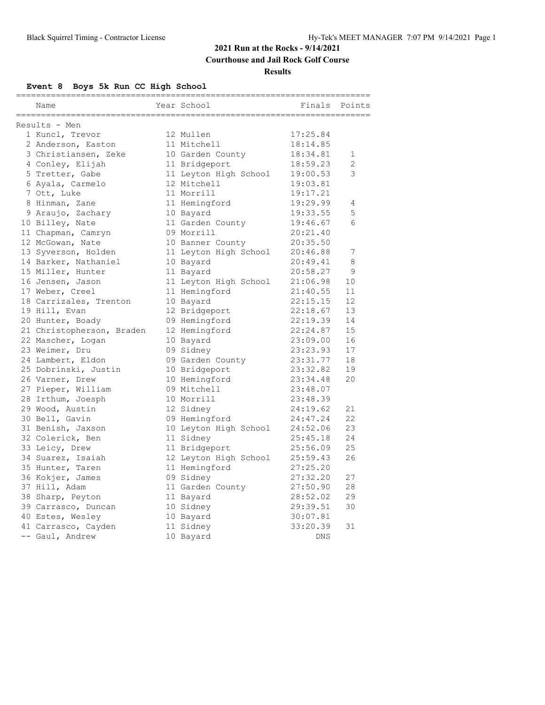### **Courthouse and Jail Rock Golf Course**

#### **Results**

# **Event 8 Boys 5k Run CC High School**

| Name                      | Year School           | Finals     | Points |
|---------------------------|-----------------------|------------|--------|
|                           |                       |            |        |
| Results - Men             |                       |            |        |
| 1 Kuncl, Trevor           | 12 Mullen             | 17:25.84   |        |
| 2 Anderson, Easton        | 11 Mitchell           | 18:14.85   |        |
| 3 Christiansen, Zeke      | 10 Garden County      | 18:34.81   | 1      |
| 4 Conley, Elijah          | 11 Bridgeport         | 18:59.23   | 2      |
| 5 Tretter, Gabe           | 11 Leyton High School | 19:00.53   | 3      |
| 6 Ayala, Carmelo          | 12 Mitchell           | 19:03.81   |        |
| 7 Ott, Luke               | 11 Morrill            | 19:17.21   |        |
| 8 Hinman, Zane            | 11 Hemingford         | 19:29.99   | 4      |
| 9 Araujo, Zachary         | 10 Bayard             | 19:33.55   | 5      |
| 10 Billey, Nate           | 11 Garden County      | 19:46.67   | 6      |
| 11 Chapman, Camryn        | 09 Morrill            | 20:21.40   |        |
| 12 McGowan, Nate          | 10 Banner County      | 20:35.50   |        |
| 13 Syverson, Holden       | 11 Leyton High School | 20:46.88   | 7      |
| 14 Barker, Nathaniel      | 10 Bayard             | 20:49.41   | 8      |
| 15 Miller, Hunter         | 11 Bayard             | 20:58.27   | 9      |
| 16 Jensen, Jason          | 11 Leyton High School | 21:06.98   | 10     |
| 17 Weber, Creel           | 11 Hemingford         | 21:40.55   | 11     |
| 18 Carrizales, Trenton    | 10 Bayard             | 22:15.15   | 12     |
| 19 Hill, Evan             | 12 Bridgeport         | 22:18.67   | 13     |
| 20 Hunter, Boady          | 09 Hemingford         | 22:19.39   | 14     |
| 21 Christopherson, Braden | 12 Hemingford         | 22:24.87   | 15     |
| 22 Mascher, Logan         | 10 Bayard             | 23:09.00   | 16     |
| 23 Weimer, Dru            | 09 Sidney             | 23:23.93   | 17     |
| 24 Lambert, Eldon         | 09 Garden County      | 23:31.77   | 18     |
| 25 Dobrinski, Justin      | 10 Bridgeport         | 23:32.82   | 19     |
| 26 Varner, Drew           | 10 Hemingford         | 23:34.48   | 20     |
| 27 Pieper, William        | 09 Mitchell           | 23:48.07   |        |
| 28 Irthum, Joesph         | 10 Morrill            | 23:48.39   |        |
| 29 Wood, Austin           | 12 Sidney             | 24:19.62   | 21     |
| 30 Bell, Gavin            | 09 Hemingford         | 24:47.24   | 22     |
| 31 Benish, Jaxson         | 10 Leyton High School | 24:52.06   | 23     |
| 32 Colerick, Ben          | 11 Sidney             | 25:45.18   | 24     |
| 33 Leicy, Drew            | 11 Bridgeport         | 25:56.09   | 25     |
| 34 Suarez, Isaiah         | 12 Leyton High School | 25:59.43   | 26     |
| 35 Hunter, Taren          | 11 Hemingford         | 27:25.20   |        |
| 36 Kokjer, James          | 09 Sidney             | 27:32.20   | 27     |
| 37 Hill, Adam             | 11 Garden County      | 27:50.90   | 28     |
| 38 Sharp, Peyton          | 11 Bayard             | 28:52.02   | 29     |
| 39 Carrasco, Duncan       | 10 Sidney             | 29:39.51   | 30     |
| 40 Estes, Wesley          | 10 Bayard             | 30:07.81   |        |
| 41 Carrasco, Cayden       | 11 Sidney             | 33:20.39   | 31     |
| -- Gaul, Andrew           | 10 Bayard             | <b>DNS</b> |        |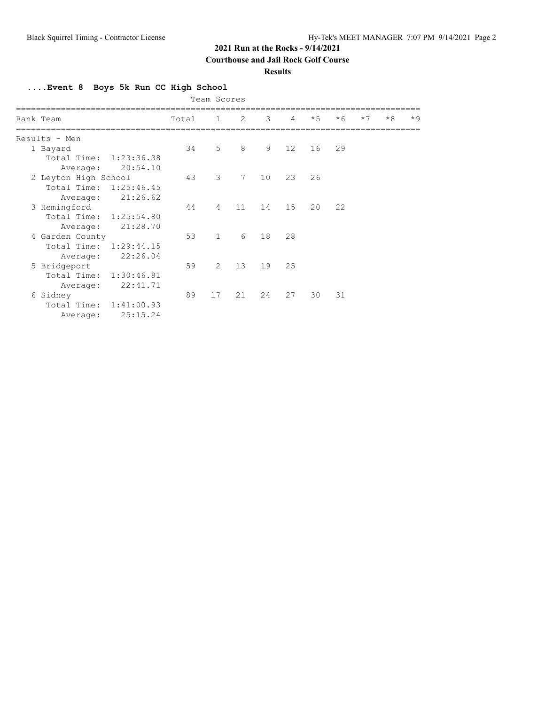**Courthouse and Jail Rock Golf Course**

#### **Results**

**....Event 8 Boys 5k Run CC High School**

|                           |       | Team Scores    |             |    |                 |      |      |      |      |      |
|---------------------------|-------|----------------|-------------|----|-----------------|------|------|------|------|------|
| Rank Team                 | Total | $\mathbf{1}$   | 2           | 3  | $\overline{4}$  | $*5$ | $*6$ | $*7$ | $*8$ | $*9$ |
| Results - Men             |       |                |             |    |                 |      |      |      |      |      |
| 1 Bayard                  | 34    | 5              | 8           | 9  | 12 <sup>°</sup> | 16   | 29   |      |      |      |
| Total Time: 1:23:36.38    |       |                |             |    |                 |      |      |      |      |      |
| 20:54.10<br>Average:      |       |                |             |    |                 |      |      |      |      |      |
| 2 Leyton High School      | 43    | 3              | $7^{\circ}$ | 10 | 23              | 26   |      |      |      |      |
| Total Time:<br>1:25:46.45 |       |                |             |    |                 |      |      |      |      |      |
| 21:26.62<br>Average:      |       |                |             |    |                 |      |      |      |      |      |
| 3 Hemingford              | 44    | $\overline{4}$ | 11          | 14 | 15              | 20   | 22   |      |      |      |
| Total Time:<br>1:25:54.80 |       |                |             |    |                 |      |      |      |      |      |
| 21:28.70<br>Average:      |       |                |             |    |                 |      |      |      |      |      |
| 4 Garden County           | 53    | $\mathbf{1}$   | 6           | 18 | 28              |      |      |      |      |      |
| Total Time: 1:29:44.15    |       |                |             |    |                 |      |      |      |      |      |
| 22:26.04<br>Average:      |       |                |             |    |                 |      |      |      |      |      |
| 5 Bridgeport              | 59    | $\mathcal{L}$  | 13          | 19 | 25              |      |      |      |      |      |
| Total Time:<br>1:30:46.81 |       |                |             |    |                 |      |      |      |      |      |
| 22:41.71<br>Average:      |       |                |             |    |                 |      |      |      |      |      |
| 6 Sidney                  | 89    | 17             | 21          | 24 | 27              | 30   | 31   |      |      |      |
| Total Time: 1:41:00.93    |       |                |             |    |                 |      |      |      |      |      |
| 25:15.24<br>Average:      |       |                |             |    |                 |      |      |      |      |      |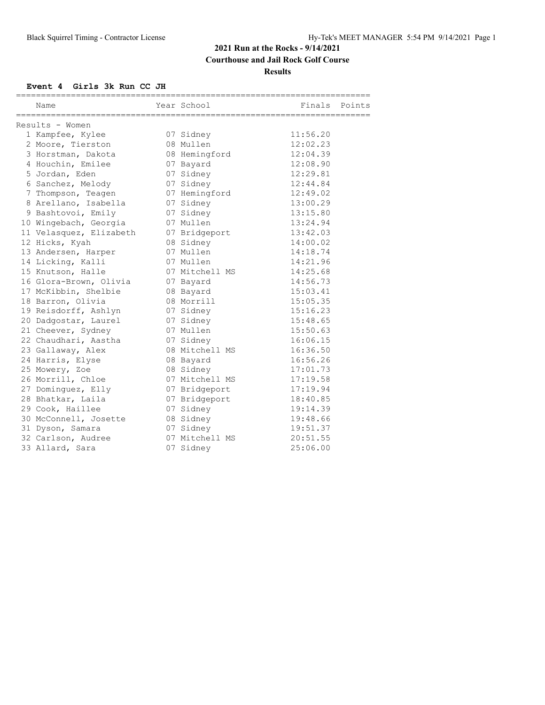# **Courthouse and Jail Rock Golf Course**

**Results**

## **Event 4 Girls 3k Run CC JH**

| Name                    | Year School    | Finals Points |  |
|-------------------------|----------------|---------------|--|
|                         |                |               |  |
| Results - Women         |                |               |  |
| 1 Kampfee, Kylee        | 07 Sidney      | 11:56.20      |  |
| 2 Moore, Tierston       | 08 Mullen      | 12:02.23      |  |
| 3 Horstman, Dakota      | 08 Hemingford  | 12:04.39      |  |
| 4 Houchin, Emilee       | 07 Bayard      | 12:08.90      |  |
| 5 Jordan, Eden          | 07 Sidney      | 12:29.81      |  |
| 6 Sanchez, Melody       | 07 Sidney      | 12:44.84      |  |
| 7 Thompson, Teagen      | 07 Hemingford  | 12:49.02      |  |
| 8 Arellano, Isabella    | 07 Sidney      | 13:00.29      |  |
| 9 Bashtovoi, Emily      | 07 Sidney      | 13:15.80      |  |
| 10 Wingebach, Georgia   | 07 Mullen      | 13:24.94      |  |
| 11 Velasquez, Elizabeth | 07 Bridgeport  | 13:42.03      |  |
| 12 Hicks, Kyah          | 08 Sidney      | 14:00.02      |  |
| 13 Andersen, Harper     | 07 Mullen      | 14:18.74      |  |
| 14 Licking, Kalli       | 07 Mullen      | 14:21.96      |  |
| 15 Knutson, Halle       | 07 Mitchell MS | 14:25.68      |  |
| 16 Glora-Brown, Olivia  | 07 Bayard      | 14:56.73      |  |
| 17 McKibbin, Shelbie    | 08 Bayard      | 15:03.41      |  |
| 18 Barron, Olivia       | 08 Morrill     | 15:05.35      |  |
| 19 Reisdorff, Ashlyn    | 07 Sidney      | 15:16.23      |  |
| 20 Dadgostar, Laurel    | 07 Sidney      | 15:48.65      |  |
| 21 Cheever, Sydney      | 07 Mullen      | 15:50.63      |  |
| 22 Chaudhari, Aastha    | 07 Sidney      | 16:06.15      |  |
| 23 Gallaway, Alex       | 08 Mitchell MS | 16:36.50      |  |
| 24 Harris, Elyse        | 08 Bayard      | 16:56.26      |  |
| 25 Mowery, Zoe          | 08 Sidney      | 17:01.73      |  |
| 26 Morrill, Chloe       | 07 Mitchell MS | 17:19.58      |  |
| 27 Dominguez, Elly      | 07 Bridgeport  | 17:19.94      |  |
| 28 Bhatkar, Laila       | 07 Bridgeport  | 18:40.85      |  |
| 29 Cook, Haillee        | 07 Sidney      | 19:14.39      |  |
| 30 McConnell, Josette   | 08 Sidney      | 19:48.66      |  |
| 31 Dyson, Samara        | 07 Sidney      | 19:51.37      |  |
| 32 Carlson, Audree      | 07 Mitchell MS | 20:51.55      |  |
| 33 Allard, Sara         | 07 Sidney      | 25:06.00      |  |